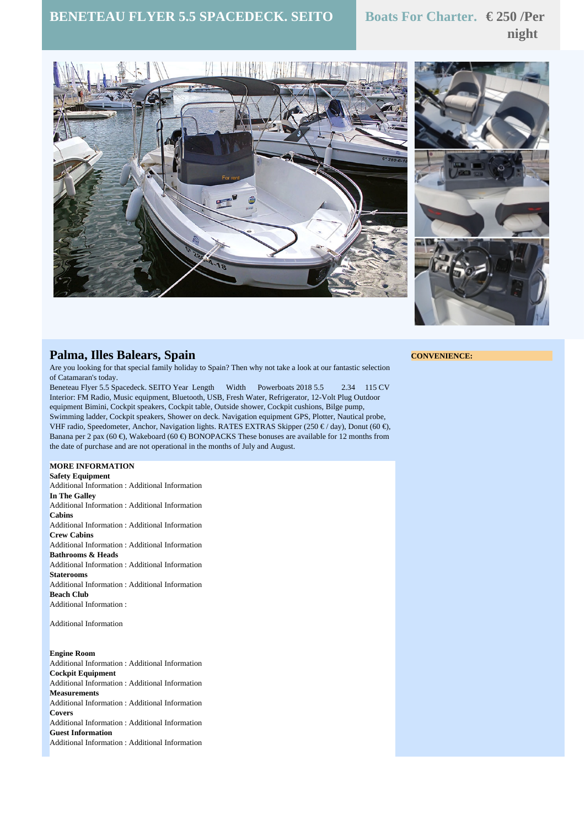## **BENETEAU FLYER 5.5 SPACEDECK. SEITO Boats For Charter. € 250 /Per**

# **night**





### **Palma, Illes Balears, Spain**

Are you looking for that special family holiday to Spain? Then why not take a look at our fantastic selection of Catamaran's today.

Beneteau Flyer 5.5 Spacedeck. SEITO Year Length Width Powerboats 2018 5.5 2.34 115 CV Interior: FM Radio, Music equipment, Bluetooth, USB, Fresh Water, Refrigerator, 12-Volt Plug Outdoor equipment Bimini, Cockpit speakers, Cockpit table, Outside shower, Cockpit cushions, Bilge pump, Swimming ladder, Cockpit speakers, Shower on deck. Navigation equipment GPS, Plotter, Nautical probe, VHF radio, Speedometer, Anchor, Navigation lights. RATES EXTRAS Skipper (250  $\epsilon$  / day), Donut (60  $\epsilon$ ), Banana per 2 pax (60 €), Wakeboard (60 €) BONOPACKS These bonuses are available for 12 months from the date of purchase and are not operational in the months of July and August.

#### **MORE INFORMATION**

**Safety Equipment** Additional Information : Additional Information **In The Galley** Additional Information : Additional Information **Cabins** Additional Information : Additional Information **Crew Cabins** Additional Information : Additional Information **Bathrooms & Heads** Additional Information : Additional Information **Staterooms** Additional Information : Additional Information **Beach Club** Additional Information :

Additional Information

#### **Engine Room**

Additional Information : Additional Information **Cockpit Equipment** Additional Information : Additional Information **Measurements** Additional Information : Additional Information **Covers** Additional Information : Additional Information **Guest Information** Additional Information : Additional Information

#### **CONVENIENCE:**